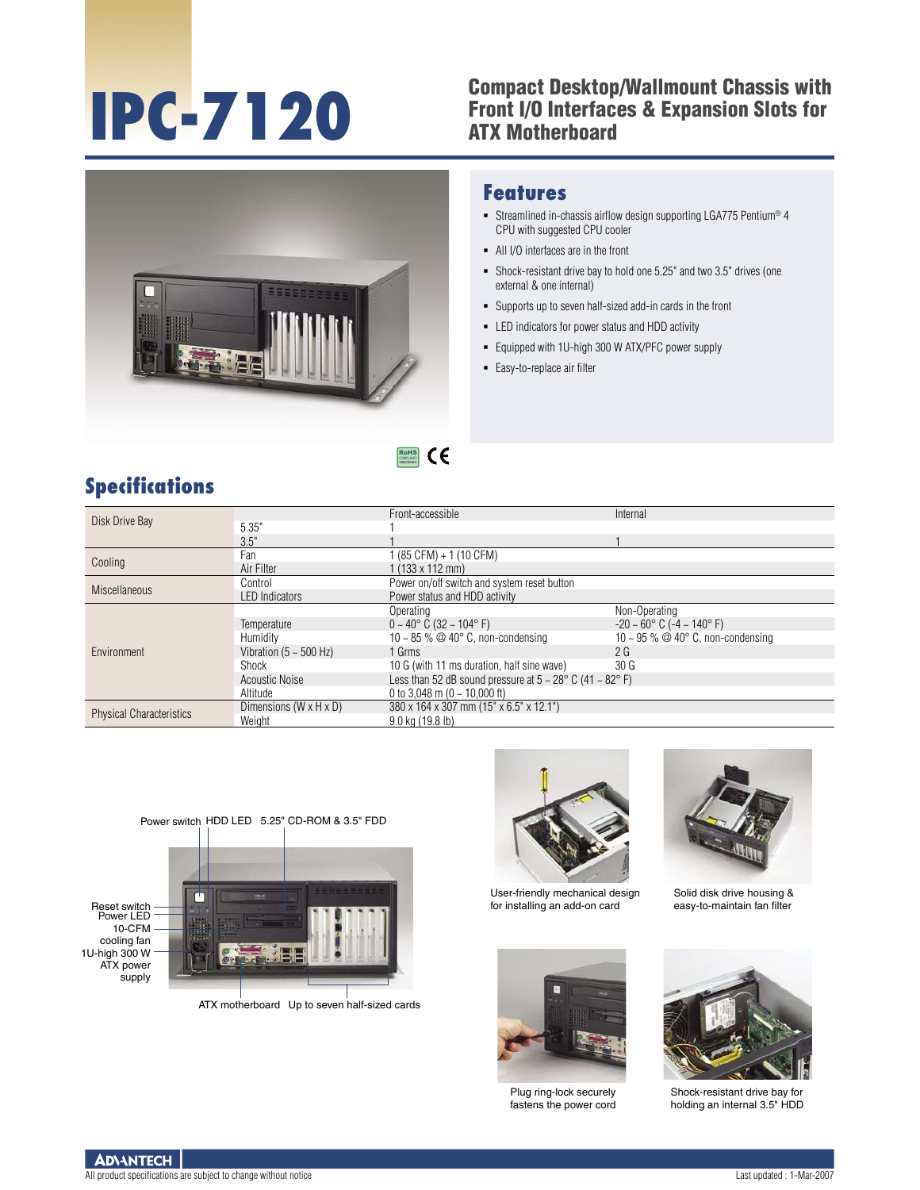### **IPC-7120** Compact Desktop/Wallmount Chassis with<br>Front I/O Interfaces & Expansion Slots for<br>ATX Motherboard Front I/O Interfaces & Expansion Slots for ATX Motherboard



#### **Features**

- Streamlined in-chassis airflow design supporting LGA775 Pentium® 4 CPU with suggested CPU cooler
- All I/O interfaces are in the front
- Shock-resistant drive bay to hold one 5.25" and two 3.5" drives (one external & one internal)
- Supports up to seven half-sized add-in cards in the front
- LED indicators for power status and HDD activity
- Equipped with 1U-high 300 W ATX/PFC power supply
- **Easy-to-replace air filter**

## **Specifications**

| Disk Drive Bay                  |                                    | Front-accessible                                                                 | Internal                                           |  |
|---------------------------------|------------------------------------|----------------------------------------------------------------------------------|----------------------------------------------------|--|
|                                 | 5.35"                              |                                                                                  |                                                    |  |
|                                 | 3.5"                               |                                                                                  |                                                    |  |
| Cooling                         | Fan                                | l (85 CFM) + 1 (10 CFM)                                                          |                                                    |  |
|                                 | Air Filter                         | $1(133 \times 112 \text{ mm})$                                                   |                                                    |  |
| <b>Miscellaneous</b>            | Control                            | Power on/off switch and system reset button                                      |                                                    |  |
|                                 | <b>LED</b> Indicators              | Power status and HDD activity                                                    |                                                    |  |
| Environment                     |                                    | Operating                                                                        | Non-Operating                                      |  |
|                                 | Temperature                        | $0 \sim 40^{\circ}$ C (32 ~ 104°F)                                               | $-20 \sim 60^{\circ}$ C ( $-4 \sim 140^{\circ}$ F) |  |
|                                 | Humidity                           | 10 ~ 85 % $\textcircled{a}$ 40° C, non-condensing                                | 10 ~ 95 % @ 40 $\degree$ C, non-condensing         |  |
|                                 | Vibration ( $5 \sim 500$ Hz)       | 1 Grms                                                                           | 2G                                                 |  |
|                                 | Shock                              | 10 G (with 11 ms duration, half sine wave)                                       | 30 <sub>G</sub>                                    |  |
|                                 | Acoustic Noise                     | Less than 52 dB sound pressure at $5 \sim 28^{\circ}$ C (41 $\sim 82^{\circ}$ F) |                                                    |  |
|                                 | Altitude                           | 0 to 3,048 m (0 $\sim$ 10,000 ft)                                                |                                                    |  |
| <b>Physical Characteristics</b> | Dimensions $(W \times H \times D)$ | 380 x 164 x 307 mm (15" x 6.5" x 12.1")                                          |                                                    |  |
|                                 | Weight                             | 9.0 kg (19.8 lb)                                                                 |                                                    |  |

 $\epsilon$ RoHS **COMPLIANT** 2002/95/EC



ATX motherboard Up to seven half-sized cards



User-friendly mechanical design for installing an add-on card



Plug ring-lock securely fastens the power cord



Solid disk drive housing & easy-to-maintain fan filter



Shock-resistant drive bay for holding an internal 3.5" HDD

**ADVANTECH**